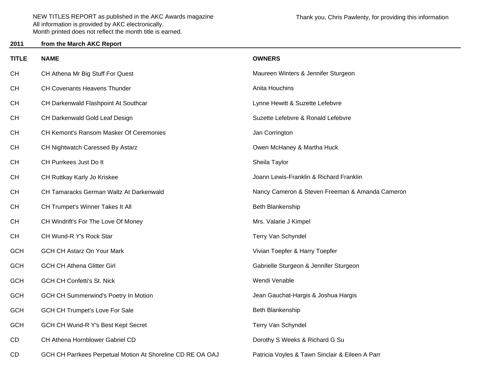## **2011from the March AKC Report**

| <b>TITLE</b> | <b>NAME</b>                                                | <b>OWNERS</b>                                   |
|--------------|------------------------------------------------------------|-------------------------------------------------|
| <b>CH</b>    | CH Athena Mr Big Stuff For Quest                           | Maureen Winters & Jennifer Sturgeon             |
| <b>CH</b>    | CH Covenants Heavens Thunder                               | Anita Houchins                                  |
| <b>CH</b>    | CH Darkenwald Flashpoint At Southcar                       | Lynne Hewitt & Suzette Lefebvre                 |
| <b>CH</b>    | CH Darkenwald Gold Leaf Design                             | Suzette Lefebvre & Ronald Lefebvre              |
| <b>CH</b>    | <b>CH Kemont's Ransom Masker Of Ceremonies</b>             | Jan Corrington                                  |
| <b>CH</b>    | CH Nightwatch Caressed By Astarz                           | Owen McHaney & Martha Huck                      |
| <b>CH</b>    | CH Purrkees Just Do It                                     | Sheila Taylor                                   |
| <b>CH</b>    | CH Ruttkay Karly Jo Kriskee                                | Joann Lewis-Franklin & Richard Franklin         |
| <b>CH</b>    | CH Tamaracks German Waltz At Darkenwald                    | Nancy Cameron & Steven Freeman & Amanda Cameron |
| <b>CH</b>    | CH Trumpet's Winner Takes It All                           | Beth Blankenship                                |
| <b>CH</b>    | CH Windrift's For The Love Of Money                        | Mrs. Valarie J Kimpel                           |
| <b>CH</b>    | CH Wund-R Y's Rock Star                                    | Terry Van Schyndel                              |
| <b>GCH</b>   | <b>GCH CH Astarz On Your Mark</b>                          | Vivian Toepfer & Harry Toepfer                  |
| <b>GCH</b>   | <b>GCH CH Athena Glitter Girl</b>                          | Gabrielle Sturgeon & Jennifer Sturgeon          |
| <b>GCH</b>   | <b>GCH CH Confetti's St. Nick</b>                          | Wendi Venable                                   |
| <b>GCH</b>   | <b>GCH CH Summerwind's Poetry In Motion</b>                | Jean Gauchat-Hargis & Joshua Hargis             |
| <b>GCH</b>   | GCH CH Trumpet's Love For Sale                             | Beth Blankenship                                |
| <b>GCH</b>   | GCH CH Wund-R Y's Best Kept Secret                         | Terry Van Schyndel                              |
| CD           | CH Athena Hornblower Gabriel CD                            | Dorothy S Weeks & Richard G Su                  |
| CD           | GCH CH Parrkees Perpetual Motion At Shoreline CD RE OA OAJ | Patricia Voyles & Tawn Sinclair & Eileen A Parr |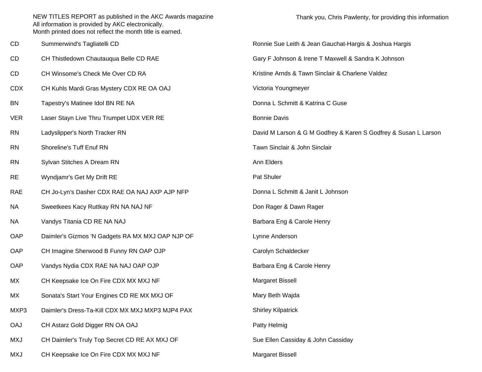| CD         | Summerwind's Tagliatelli CD                      | Ronnie Sue Leith & Jean Gauchat-Hargis & Joshua Hargis          |
|------------|--------------------------------------------------|-----------------------------------------------------------------|
| CD         | CH Thistledown Chautauqua Belle CD RAE           | Gary F Johnson & Irene T Maxwell & Sandra K Johnson             |
| CD         | CH Winsome's Check Me Over CD RA                 | Kristine Arnds & Tawn Sinclair & Charlene Valdez                |
| <b>CDX</b> | CH Kuhls Mardi Gras Mystery CDX RE OA OAJ        | Victoria Youngmeyer                                             |
| <b>BN</b>  | Tapestry's Matinee Idol BN RE NA                 | Donna L Schmitt & Katrina C Guse                                |
| <b>VER</b> | Laser Stayn Live Thru Trumpet UDX VER RE         | <b>Bonnie Davis</b>                                             |
| <b>RN</b>  | Ladyslipper's North Tracker RN                   | David M Larson & G M Godfrey & Karen S Godfrey & Susan L Larson |
| <b>RN</b>  | Shoreline's Tuff Enuf RN                         | Tawn Sinclair & John Sinclair                                   |
| <b>RN</b>  | Sylvan Stitches A Dream RN                       | Ann Elders                                                      |
| <b>RE</b>  | Wyndjamr's Get My Drift RE                       | Pat Shuler                                                      |
| <b>RAE</b> | CH Jo-Lyn's Dasher CDX RAE OA NAJ AXP AJP NFP    | Donna L Schmitt & Janit L Johnson                               |
| <b>NA</b>  | Sweetkees Kacy Ruttkay RN NA NAJ NF              | Don Rager & Dawn Rager                                          |
| <b>NA</b>  | Vandys Titania CD RE NA NAJ                      | Barbara Eng & Carole Henry                                      |
| OAP        | Daimler's Gizmos 'N Gadgets RA MX MXJ OAP NJP OF | Lynne Anderson                                                  |
| OAP        | CH Imagine Sherwood B Funny RN OAP OJP           | Carolyn Schaldecker                                             |
| OAP        | Vandys Nydia CDX RAE NA NAJ OAP OJP              | Barbara Eng & Carole Henry                                      |
| МX         | CH Keepsake Ice On Fire CDX MX MXJ NF            | Margaret Bissell                                                |
| МX         | Sonata's Start Your Engines CD RE MX MXJ OF      | Mary Beth Wajda                                                 |
| MXP3       | Daimler's Dress-Ta-Kill CDX MX MXJ MXP3 MJP4 PAX | <b>Shirley Kilpatrick</b>                                       |
| <b>OAJ</b> | CH Astarz Gold Digger RN OA OAJ                  | Patty Helmig                                                    |
| <b>MXJ</b> | CH Daimler's Truly Top Secret CD RE AX MXJ OF    | Sue Ellen Cassiday & John Cassiday                              |
| <b>MXJ</b> | CH Keepsake Ice On Fire CDX MX MXJ NF            | Margaret Bissell                                                |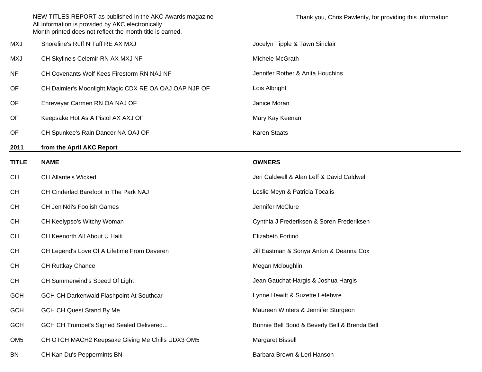|                 | NEW TITLES REPORT as published in the AKC Awards magazine<br>All information is provided by AKC electronically.<br>Month printed does not reflect the month title is earned. | Thank you, Chris Pawlenty, for providing this information |
|-----------------|------------------------------------------------------------------------------------------------------------------------------------------------------------------------------|-----------------------------------------------------------|
| <b>MXJ</b>      | Shoreline's Ruff N Tuff RE AX MXJ                                                                                                                                            | Jocelyn Tipple & Tawn Sinclair                            |
| <b>MXJ</b>      | CH Skyline's Celemir RN AX MXJ NF                                                                                                                                            | Michele McGrath                                           |
| <b>NF</b>       | CH Covenants Wolf Kees Firestorm RN NAJ NF                                                                                                                                   | Jennifer Rother & Anita Houchins                          |
| OF              | CH Daimler's Moonlight Magic CDX RE OA OAJ OAP NJP OF                                                                                                                        | Lois Albright                                             |
| OF              | Enreveyar Carmen RN OA NAJ OF                                                                                                                                                | Janice Moran                                              |
| OF              | Keepsake Hot As A Pistol AX AXJ OF                                                                                                                                           | Mary Kay Keenan                                           |
| OF              | CH Spunkee's Rain Dancer NA OAJ OF                                                                                                                                           | <b>Karen Staats</b>                                       |
| 2011            | from the April AKC Report                                                                                                                                                    |                                                           |
| <b>TITLE</b>    | <b>NAME</b>                                                                                                                                                                  | <b>OWNERS</b>                                             |
| <b>CH</b>       | <b>CH Allante's Wicked</b>                                                                                                                                                   | Jeri Caldwell & Alan Leff & David Caldwell                |
| <b>CH</b>       | CH Cinderlad Barefoot In The Park NAJ                                                                                                                                        | Leslie Meyn & Patricia Tocalis                            |
| <b>CH</b>       | CH Jen'Ndi's Foolish Games                                                                                                                                                   | Jennifer McClure                                          |
| <b>CH</b>       | CH Keelypso's Witchy Woman                                                                                                                                                   | Cynthia J Frederiksen & Soren Frederiksen                 |
| <b>CH</b>       | CH Keenorth All About U Haiti                                                                                                                                                | Elizabeth Fortino                                         |
| <b>CH</b>       | CH Legend's Love Of A Lifetime From Daveren                                                                                                                                  | Jill Eastman & Sonya Anton & Deanna Cox                   |
| <b>CH</b>       | <b>CH Ruttkay Chance</b>                                                                                                                                                     | Megan Mcloughlin                                          |
| CH              | CH Summerwind's Speed Of Light                                                                                                                                               | Jean Gauchat-Hargis & Joshua Hargis                       |
| <b>GCH</b>      | GCH CH Darkenwald Flashpoint At Southcar                                                                                                                                     | Lynne Hewitt & Suzette Lefebvre                           |
| <b>GCH</b>      | <b>GCH CH Quest Stand By Me</b>                                                                                                                                              | Maureen Winters & Jennifer Sturgeon                       |
| <b>GCH</b>      | GCH CH Trumpet's Signed Sealed Delivered                                                                                                                                     | Bonnie Bell Bond & Beverly Bell & Brenda Bell             |
| OM <sub>5</sub> | CH OTCH MACH2 Keepsake Giving Me Chills UDX3 OM5                                                                                                                             | Margaret Bissell                                          |
| <b>BN</b>       | CH Kan Du's Peppermints BN                                                                                                                                                   | Barbara Brown & Leri Hanson                               |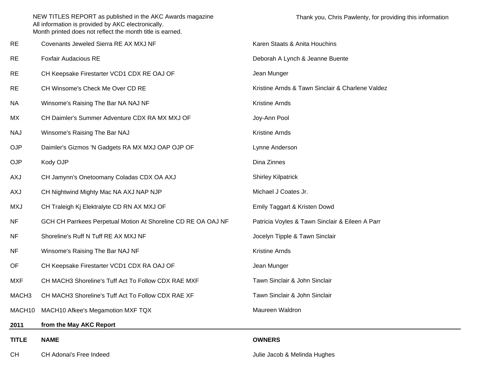| <b>CH</b>          | CH Adonai's Free Indeed                                                                                                                                                      | Julie Jacob & Melinda Hughes                              |
|--------------------|------------------------------------------------------------------------------------------------------------------------------------------------------------------------------|-----------------------------------------------------------|
| <b>TITLE</b>       | <b>NAME</b>                                                                                                                                                                  | <b>OWNERS</b>                                             |
| 2011               | from the May AKC Report                                                                                                                                                      |                                                           |
| MACH <sub>10</sub> | MACH10 Afkee's Megamotion MXF TQX                                                                                                                                            | Maureen Waldron                                           |
| MACH <sub>3</sub>  | CH MACH3 Shoreline's Tuff Act To Follow CDX RAE XF                                                                                                                           | Tawn Sinclair & John Sinclair                             |
| MXF                | CH MACH3 Shoreline's Tuff Act To Follow CDX RAE MXF                                                                                                                          | Tawn Sinclair & John Sinclair                             |
| OF                 | CH Keepsake Firestarter VCD1 CDX RA OAJ OF                                                                                                                                   | Jean Munger                                               |
| <b>NF</b>          | Winsome's Raising The Bar NAJ NF                                                                                                                                             | Kristine Arnds                                            |
| <b>NF</b>          | Shoreline's Ruff N Tuff RE AX MXJ NF                                                                                                                                         | Jocelyn Tipple & Tawn Sinclair                            |
| <b>NF</b>          | GCH CH Parrkees Perpetual Motion At Shoreline CD RE OA OAJ NF                                                                                                                | Patricia Voyles & Tawn Sinclair & Eileen A Parr           |
| MXJ                | CH Traleigh Kj Elektralyte CD RN AX MXJ OF                                                                                                                                   | Emily Taggart & Kristen Dowd                              |
| <b>AXJ</b>         | CH Nightwind Mighty Mac NA AXJ NAP NJP                                                                                                                                       | Michael J Coates Jr.                                      |
| AXJ                | CH Jamynn's Onetoomany Coladas CDX OA AXJ                                                                                                                                    | <b>Shirley Kilpatrick</b>                                 |
| <b>OJP</b>         | Kody OJP                                                                                                                                                                     | Dina Zinnes                                               |
| <b>OJP</b>         | Daimler's Gizmos 'N Gadgets RA MX MXJ OAP OJP OF                                                                                                                             | Lynne Anderson                                            |
| <b>NAJ</b>         | Winsome's Raising The Bar NAJ                                                                                                                                                | Kristine Arnds                                            |
| МX                 | CH Daimler's Summer Adventure CDX RA MX MXJ OF                                                                                                                               | Joy-Ann Pool                                              |
| <b>NA</b>          | Winsome's Raising The Bar NA NAJ NF                                                                                                                                          | Kristine Arnds                                            |
| <b>RE</b>          | CH Winsome's Check Me Over CD RE                                                                                                                                             | Kristine Arnds & Tawn Sinclair & Charlene Valdez          |
| <b>RE</b>          | CH Keepsake Firestarter VCD1 CDX RE OAJ OF                                                                                                                                   | Jean Munger                                               |
| <b>RE</b>          | <b>Foxfair Audacious RE</b>                                                                                                                                                  | Deborah A Lynch & Jeanne Buente                           |
| <b>RE</b>          | Covenants Jeweled Sierra RE AX MXJ NF                                                                                                                                        | Karen Staats & Anita Houchins                             |
|                    | NEW TITLES REPORT as published in the AKC Awards magazine<br>All information is provided by AKC electronically.<br>Month printed does not reflect the month title is earned. | Thank you, Chris Pawlenty, for providing this information |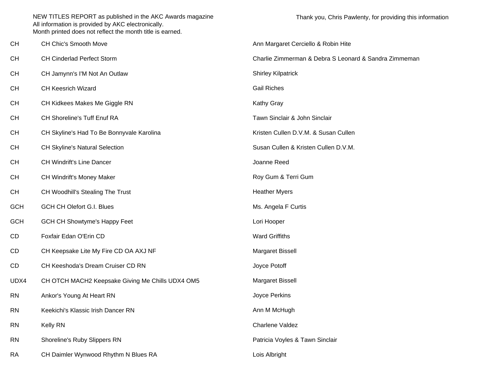| CН         | CH Chic's Smooth Move                            | Ann Margaret Cerciello & Robin Hite                   |
|------------|--------------------------------------------------|-------------------------------------------------------|
| CН         | <b>CH Cinderlad Perfect Storm</b>                | Charlie Zimmerman & Debra S Leonard & Sandra Zimmeman |
| CН         | CH Jamynn's I'M Not An Outlaw                    | <b>Shirley Kilpatrick</b>                             |
| CН         | <b>CH Keesrich Wizard</b>                        | <b>Gail Riches</b>                                    |
| CН         | CH Kidkees Makes Me Giggle RN                    | Kathy Gray                                            |
| CН         | CH Shoreline's Tuff Enuf RA                      | Tawn Sinclair & John Sinclair                         |
| CН         | CH Skyline's Had To Be Bonnyvale Karolina        | Kristen Cullen D.V.M. & Susan Cullen                  |
| CН         | <b>CH Skyline's Natural Selection</b>            | Susan Cullen & Kristen Cullen D.V.M.                  |
| CН         | <b>CH Windrift's Line Dancer</b>                 | Joanne Reed                                           |
| CН         | CH Windrift's Money Maker                        | Roy Gum & Terri Gum                                   |
| CН         | CH Woodhill's Stealing The Trust                 | <b>Heather Myers</b>                                  |
| <b>GCH</b> | <b>GCH CH Olefort G.I. Blues</b>                 | Ms. Angela F Curtis                                   |
| <b>GCH</b> | <b>GCH CH Showtyme's Happy Feet</b>              | Lori Hooper                                           |
| CD         | Foxfair Edan O'Erin CD                           | <b>Ward Griffiths</b>                                 |
| CD         | CH Keepsake Lite My Fire CD OA AXJ NF            | Margaret Bissell                                      |
| CD         | CH Keeshoda's Dream Cruiser CD RN                | Joyce Potoff                                          |
| UDX4       | CH OTCH MACH2 Keepsake Giving Me Chills UDX4 OM5 | Margaret Bissell                                      |
| <b>RN</b>  | Ankor's Young At Heart RN                        | Joyce Perkins                                         |
| RN         | Keekichi's Klassic Irish Dancer RN               | Ann M McHugh                                          |
| <b>RN</b>  | <b>Kelly RN</b>                                  | Charlene Valdez                                       |
| <b>RN</b>  | Shoreline's Ruby Slippers RN                     | Patricia Voyles & Tawn Sinclair                       |
| RA         | CH Daimler Wynwood Rhythm N Blues RA             | Lois Albright                                         |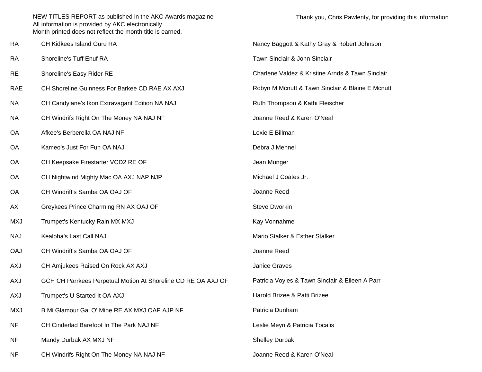RA CH Kidkees Island Guru RARA Shoreline's Tuff Enuf RARE Shoreline's Easy Rider RE Charlene Valdez & Kristine Arnds & Tawn Sinclair RAE CH Shoreline Guinness For Barkee CD RAE AX AXJNA CH Candylane's Ikon Extravagant Edition NA NAJ Ruth Thompson & Kathi Fleischer NA CH Windrifs Right On The Money NA NAJ NF **State Account CH Windrifs Right On The Money NA NAJ NF** State And Money NA NAJ NF OA Afkee's Berberella OA NAJ NFOA Kameo's Just For Fun OA NAJOA CH Keepsake Firestarter VCD2 RE OF Jean Munger and Munger OA CH Nightwind Mighty Mac OA AXJ NAP NJP Michael J Coates Jr. OA CH Windrift's Samba OA OAJ OFAX Greykees Prince Charming RN AX OAJ OF Steve Dworkin MXJ Trumpet's Kentucky Rain MX MXJ Kay Vonnahme NAJ Kealoha's Last Call NAJOAJ CH Windrift's Samba OA OAJ OFAXJ CH Amjukees Raised On Rock AX AXJ **Janice Graves** Janice Graves AXJ GCH CH Parrkees Perpetual Motion At Shoreline CD RE OA AXJ OF Patricia Voyles & Tawn Sinclair & Eileen A Parr AXJ Trumpet's U Started It OA AXJ Harold Brizee & Patti Brizee MXJ B Mi Glamour Gal O' Mine RE AX MXJ OAP AJP NFNF CH Cinderlad Barefoot In The Park NAJ NFNF Mandy Durbak AX MXJ NF Shelley Durbak AX MXJ NF Shelley Durbak NF CH Windrifs Right On The Money NA NAJ NF The Money Noting the Superintent Communist CH Windrife Reed & Karen O'Neal

Thank you, Chris Pawlenty, for providing this information

 Nancy Baggott & Kathy Gray & Robert Johnson Tawn Sinclair & John Sinclair Robyn M Mcnutt & Tawn Sinclair & Blaine E Mcnutt Lexie E Billman Debra J Mennel Joanne Reed Mario Stalker & Esther Stalker Joanne Reed Patricia DunhamLeslie Meyn & Patricia Tocalis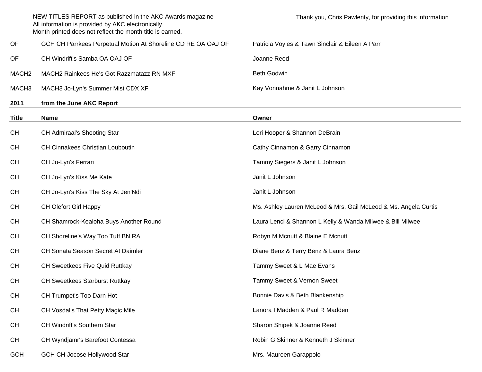|                   | NEW TITLES REPORT as published in the AKC Awards magazine<br>All information is provided by AKC electronically.<br>Month printed does not reflect the month title is earned. | Thank you, Chris Pawlenty, for providing this information |
|-------------------|------------------------------------------------------------------------------------------------------------------------------------------------------------------------------|-----------------------------------------------------------|
| OF.               | GCH CH Parrkees Perpetual Motion At Shoreline CD RE OA OAJ OF                                                                                                                | Patricia Voyles & Tawn Sinclair & Eileen A Parr           |
| OF.               | CH Windrift's Samba OA OAJ OF                                                                                                                                                | Joanne Reed                                               |
| MACH <sub>2</sub> | MACH2 Rainkees He's Got Razzmatazz RN MXF                                                                                                                                    | Beth Godwin                                               |
| MACH3             | MACH3 Jo-Lyn's Summer Mist CDX XF                                                                                                                                            | Kay Vonnahme & Janit L Johnson                            |
| 2011              | from the June AKC Report                                                                                                                                                     |                                                           |

| <b>Title</b> | <b>Name</b>                             | Owner                                                           |
|--------------|-----------------------------------------|-----------------------------------------------------------------|
| <b>CH</b>    | CH Admiraal's Shooting Star             | Lori Hooper & Shannon DeBrain                                   |
| <b>CH</b>    | <b>CH Cinnakees Christian Louboutin</b> | Cathy Cinnamon & Garry Cinnamon                                 |
| <b>CH</b>    | CH Jo-Lyn's Ferrari                     | Tammy Siegers & Janit L Johnson                                 |
| <b>CH</b>    | CH Jo-Lyn's Kiss Me Kate                | Janit L Johnson                                                 |
| <b>CH</b>    | CH Jo-Lyn's Kiss The Sky At Jen'Ndi     | Janit L Johnson                                                 |
| <b>CH</b>    | <b>CH Olefort Girl Happy</b>            | Ms. Ashley Lauren McLeod & Mrs. Gail McLeod & Ms. Angela Curtis |
| <b>CH</b>    | CH Shamrock-Kealoha Buys Another Round  | Laura Lenci & Shannon L Kelly & Wanda Milwee & Bill Milwee      |
| <b>CH</b>    | CH Shoreline's Way Too Tuff BN RA       | Robyn M Mcnutt & Blaine E Mcnutt                                |
| <b>CH</b>    | CH Sonata Season Secret At Daimler      | Diane Benz & Terry Benz & Laura Benz                            |
| <b>CH</b>    | <b>CH Sweetkees Five Quid Ruttkay</b>   | Tammy Sweet & L Mae Evans                                       |
| <b>CH</b>    | <b>CH Sweetkees Starburst Ruttkay</b>   | Tammy Sweet & Vernon Sweet                                      |
| <b>CH</b>    | CH Trumpet's Too Darn Hot               | Bonnie Davis & Beth Blankenship                                 |
| <b>CH</b>    | CH Vosdal's That Petty Magic Mile       | Lanora I Madden & Paul R Madden                                 |
| <b>CH</b>    | CH Windrift's Southern Star             | Sharon Shipek & Joanne Reed                                     |
| <b>CH</b>    | CH Wyndjamr's Barefoot Contessa         | Robin G Skinner & Kenneth J Skinner                             |
| <b>GCH</b>   | GCH CH Jocose Hollywood Star            | Mrs. Maureen Garappolo                                          |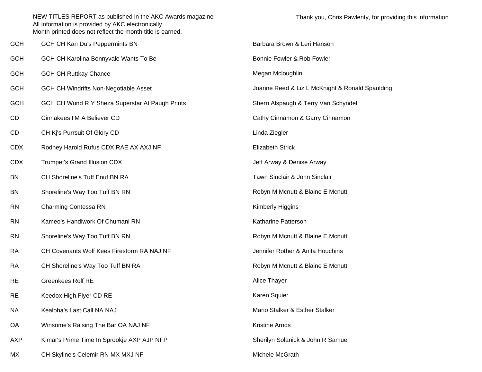|            | NEW TITLES REPORT as published in the AKC Awards magazine<br>All information is provided by AKC electronically.<br>Month printed does not reflect the month title is earned. | Thank you, Chris Pawlenty, for providing this information |
|------------|------------------------------------------------------------------------------------------------------------------------------------------------------------------------------|-----------------------------------------------------------|
| <b>GCH</b> | GCH CH Kan Du's Peppermints BN                                                                                                                                               | Barbara Brown & Leri Hanson                               |
| <b>GCH</b> | GCH CH Karolina Bonnyvale Wants To Be                                                                                                                                        | Bonnie Fowler & Rob Fowler                                |
| <b>GCH</b> | <b>GCH CH Ruttkay Chance</b>                                                                                                                                                 | Megan Mcloughlin                                          |
| <b>GCH</b> | <b>GCH CH Windrifts Non-Negotiable Asset</b>                                                                                                                                 | Joanne Reed & Liz L McKnight & Ronald Spaulding           |
| <b>GCH</b> | GCH CH Wund R Y Sheza Superstar At Paugh Prints                                                                                                                              | Sherri Alspaugh & Terry Van Schyndel                      |
| CD         | Cinnakees I'M A Believer CD                                                                                                                                                  | Cathy Cinnamon & Garry Cinnamon                           |
| CD         | CH Kj's Purrsuit Of Glory CD                                                                                                                                                 | Linda Ziegler                                             |
| <b>CDX</b> | Rodney Harold Rufus CDX RAE AX AXJ NF                                                                                                                                        | <b>Elizabeth Strick</b>                                   |
| <b>CDX</b> | Trumpet's Grand Illusion CDX                                                                                                                                                 | Jeff Arway & Denise Arway                                 |
| <b>BN</b>  | CH Shoreline's Tuff Enuf BN RA                                                                                                                                               | Tawn Sinclair & John Sinclair                             |
| <b>BN</b>  | Shoreline's Way Too Tuff BN RN                                                                                                                                               | Robyn M Mcnutt & Blaine E Mcnutt                          |
| <b>RN</b>  | <b>Charming Contessa RN</b>                                                                                                                                                  | Kimberly Higgins                                          |
| <b>RN</b>  | Kameo's Handiwork Of Chumani RN                                                                                                                                              | Katharine Patterson                                       |
| <b>RN</b>  | Shoreline's Way Too Tuff BN RN                                                                                                                                               | Robyn M Mcnutt & Blaine E Mcnutt                          |
| <b>RA</b>  | CH Covenants Wolf Kees Firestorm RA NAJ NF                                                                                                                                   | Jennifer Rother & Anita Houchins                          |
| <b>RA</b>  | CH Shoreline's Way Too Tuff BN RA                                                                                                                                            | Robyn M Mcnutt & Blaine E Mcnutt                          |
| <b>RE</b>  | <b>Greenkees Rolf RE</b>                                                                                                                                                     | Alice Thayer                                              |
| <b>RE</b>  | Keedox High Flyer CD RE                                                                                                                                                      | Karen Squier                                              |
| <b>NA</b>  | Kealoha's Last Call NA NAJ                                                                                                                                                   | Mario Stalker & Esther Stalker                            |
| OA         | Winsome's Raising The Bar OA NAJ NF                                                                                                                                          | Kristine Arnds                                            |
| <b>AXP</b> | Kimar's Prime Time In Sprookje AXP AJP NFP                                                                                                                                   | Sherilyn Solanick & John R Samuel                         |
| МX         | CH Skyline's Celemir RN MX MXJ NF                                                                                                                                            | Michele McGrath                                           |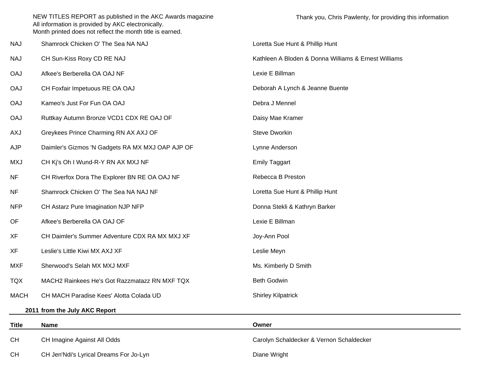|              | NEW TITLES REPORT as published in the AKC Awards magazine<br>All information is provided by AKC electronically.<br>Month printed does not reflect the month title is earned. | Thank you, Chris Pawlenty, for providing this information |
|--------------|------------------------------------------------------------------------------------------------------------------------------------------------------------------------------|-----------------------------------------------------------|
| NAJ          | Shamrock Chicken O' The Sea NA NAJ                                                                                                                                           | Loretta Sue Hunt & Phillip Hunt                           |
| NAJ          | CH Sun-Kiss Roxy CD RE NAJ                                                                                                                                                   | Kathleen A Bloden & Donna Williams & Ernest Williams      |
| <b>OAJ</b>   | Afkee's Berberella OA OAJ NF                                                                                                                                                 | Lexie E Billman                                           |
| <b>OAJ</b>   | CH Foxfair Impetuous RE OA OAJ                                                                                                                                               | Deborah A Lynch & Jeanne Buente                           |
| <b>OAJ</b>   | Kameo's Just For Fun OA OAJ                                                                                                                                                  | Debra J Mennel                                            |
| <b>OAJ</b>   | Ruttkay Autumn Bronze VCD1 CDX RE OAJ OF                                                                                                                                     | Daisy Mae Kramer                                          |
| <b>AXJ</b>   | Greykees Prince Charming RN AX AXJ OF                                                                                                                                        | <b>Steve Dworkin</b>                                      |
| <b>AJP</b>   | Daimler's Gizmos 'N Gadgets RA MX MXJ OAP AJP OF                                                                                                                             | Lynne Anderson                                            |
| <b>MXJ</b>   | CH Kj's Oh I Wund-R-Y RN AX MXJ NF                                                                                                                                           | <b>Emily Taggart</b>                                      |
| <b>NF</b>    | CH Riverfox Dora The Explorer BN RE OA OAJ NF                                                                                                                                | Rebecca B Preston                                         |
| <b>NF</b>    | Shamrock Chicken O' The Sea NA NAJ NF                                                                                                                                        | Loretta Sue Hunt & Phillip Hunt                           |
| <b>NFP</b>   | CH Astarz Pure Imagination NJP NFP                                                                                                                                           | Donna Stekli & Kathryn Barker                             |
| OF           | Afkee's Berberella OA OAJ OF                                                                                                                                                 | Lexie E Billman                                           |
| XF           | CH Daimler's Summer Adventure CDX RA MX MXJ XF                                                                                                                               | Joy-Ann Pool                                              |
| XF           | Leslie's Little Kiwi MX AXJ XF                                                                                                                                               | Leslie Meyn                                               |
| <b>MXF</b>   | Sherwood's Selah MX MXJ MXF                                                                                                                                                  | Ms. Kimberly D Smith                                      |
| <b>TQX</b>   | MACH2 Rainkees He's Got Razzmatazz RN MXF TQX                                                                                                                                | <b>Beth Godwin</b>                                        |
| <b>MACH</b>  | CH MACH Paradise Kees' Alotta Colada UD                                                                                                                                      | <b>Shirley Kilpatrick</b>                                 |
|              | 2011 from the July AKC Report                                                                                                                                                |                                                           |
| <b>Title</b> | <b>Name</b>                                                                                                                                                                  | Owner                                                     |
| <b>CH</b>    | CH Imagine Against All Odds                                                                                                                                                  | Carolyn Schaldecker & Vernon Schaldecker                  |
| <b>CH</b>    | CH Jen'Ndi's Lyrical Dreams For Jo-Lyn                                                                                                                                       | Diane Wright                                              |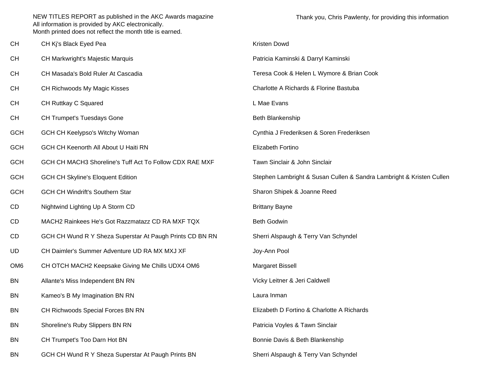| CН  | CH Kj's Black Eyed Pea                                   | Kristen Dowd                                                         |
|-----|----------------------------------------------------------|----------------------------------------------------------------------|
| CН  | <b>CH Markwright's Majestic Marquis</b>                  | Patricia Kaminski & Darryl Kaminski                                  |
| CН  | CH Masada's Bold Ruler At Cascadia                       | Teresa Cook & Helen L Wymore & Brian Cook                            |
| CН  | CH Richwoods My Magic Kisses                             | Charlotte A Richards & Florine Bastuba                               |
| CН  | CH Ruttkay C Squared                                     | L Mae Evans                                                          |
| CН  | <b>CH Trumpet's Tuesdays Gone</b>                        | Beth Blankenship                                                     |
| GCH | <b>GCH CH Keelypso's Witchy Woman</b>                    | Cynthia J Frederiksen & Soren Frederiksen                            |
| GCH | GCH CH Keenorth All About U Haiti RN                     | Elizabeth Fortino                                                    |
| GCH | GCH CH MACH3 Shoreline's Tuff Act To Follow CDX RAE MXF  | Tawn Sinclair & John Sinclair                                        |
| GCH | <b>GCH CH Skyline's Eloquent Edition</b>                 | Stephen Lambright & Susan Cullen & Sandra Lambright & Kristen Cullen |
| GCH | <b>GCH CH Windrift's Southern Star</b>                   | Sharon Shipek & Joanne Reed                                          |
| CD  | Nightwind Lighting Up A Storm CD                         | <b>Brittany Bayne</b>                                                |
| CD  | MACH2 Rainkees He's Got Razzmatazz CD RA MXF TQX         | <b>Beth Godwin</b>                                                   |
| CD  | GCH CH Wund R Y Sheza Superstar At Paugh Prints CD BN RN | Sherri Alspaugh & Terry Van Schyndel                                 |
| UD  | CH Daimler's Summer Adventure UD RA MX MXJ XF            | Joy-Ann Pool                                                         |
| OM6 | CH OTCH MACH2 Keepsake Giving Me Chills UDX4 OM6         | Margaret Bissell                                                     |
| ΒN  | Allante's Miss Independent BN RN                         | Vicky Leitner & Jeri Caldwell                                        |
| ΒN  | Kameo's B My Imagination BN RN                           | Laura Inman                                                          |
| ΒN  | CH Richwoods Special Forces BN RN                        | Elizabeth D Fortino & Charlotte A Richards                           |
| ΒN  | Shoreline's Ruby Slippers BN RN                          | Patricia Voyles & Tawn Sinclair                                      |
| ΒN  | CH Trumpet's Too Darn Hot BN                             | Bonnie Davis & Beth Blankenship                                      |
| ΒN  | GCH CH Wund R Y Sheza Superstar At Paugh Prints BN       | Sherri Alspaugh & Terry Van Schyndel                                 |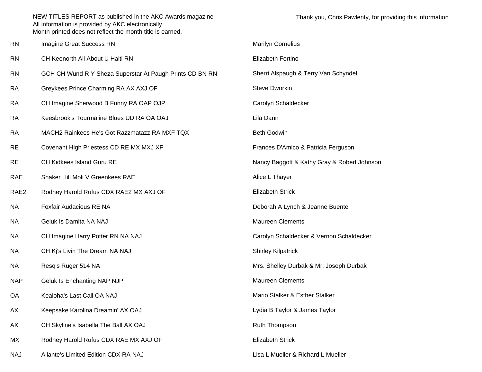| RN   | Imagine Great Success RN                                 | <b>Marilyn Cornelius</b>                    |
|------|----------------------------------------------------------|---------------------------------------------|
| RN   | CH Keenorth All About U Haiti RN                         | Elizabeth Fortino                           |
| RN   | GCH CH Wund R Y Sheza Superstar At Paugh Prints CD BN RN | Sherri Alspaugh & Terry Van Schyndel        |
| RA   | Greykees Prince Charming RA AX AXJ OF                    | <b>Steve Dworkin</b>                        |
| RA   | CH Imagine Sherwood B Funny RA OAP OJP                   | Carolyn Schaldecker                         |
| RA   | Keesbrook's Tourmaline Blues UD RA OA OAJ                | Lila Dann                                   |
| RA   | MACH2 Rainkees He's Got Razzmatazz RA MXF TQX            | Beth Godwin                                 |
| RE   | Covenant High Priestess CD RE MX MXJ XF                  | Frances D'Amico & Patricia Ferguson         |
| RE   | CH Kidkees Island Guru RE                                | Nancy Baggott & Kathy Gray & Robert Johnson |
| RAE  | Shaker Hill Moli V Greenkees RAE                         | Alice L Thayer                              |
| RAE2 | Rodney Harold Rufus CDX RAE2 MX AXJ OF                   | Elizabeth Strick                            |
| ΝA   | Foxfair Audacious RE NA                                  | Deborah A Lynch & Jeanne Buente             |
| ΝA   | Geluk Is Damita NA NAJ                                   | <b>Maureen Clements</b>                     |
| ΝA   | CH Imagine Harry Potter RN NA NAJ                        | Carolyn Schaldecker & Vernon Schaldecker    |
| ΝA   | CH Kj's Livin The Dream NA NAJ                           | <b>Shirley Kilpatrick</b>                   |
| ΝA   | Resq's Ruger 514 NA                                      | Mrs. Shelley Durbak & Mr. Joseph Durbak     |
| NAP  | Geluk Is Enchanting NAP NJP                              | <b>Maureen Clements</b>                     |
| ОA   | Kealoha's Last Call OA NAJ                               | Mario Stalker & Esther Stalker              |
| АX   | Keepsake Karolina Dreamin' AX OAJ                        | Lydia B Taylor & James Taylor               |
| АX   | CH Skyline's Isabella The Ball AX OAJ                    | Ruth Thompson                               |
| МX   | Rodney Harold Rufus CDX RAE MX AXJ OF                    | <b>Elizabeth Strick</b>                     |
| NAJ  | Allante's Limited Edition CDX RA NAJ                     | Lisa L Mueller & Richard L Mueller          |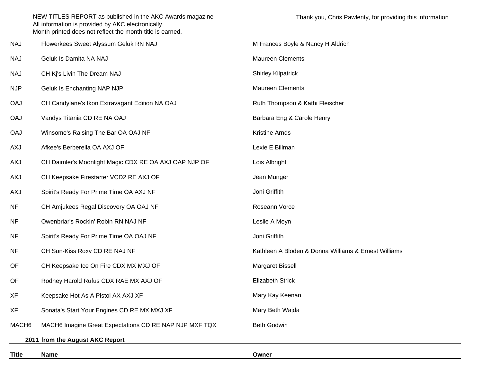|                   | NEW TITLES REPORT as published in the AKC Awards magazine<br>All information is provided by AKC electronically.<br>Month printed does not reflect the month title is earned. | Thank you, Chris Pawlenty, for providing t           |
|-------------------|------------------------------------------------------------------------------------------------------------------------------------------------------------------------------|------------------------------------------------------|
| NAJ               | Flowerkees Sweet Alyssum Geluk RN NAJ                                                                                                                                        | M Frances Boyle & Nancy H Aldrich                    |
| NAJ               | Geluk Is Damita NA NAJ                                                                                                                                                       | <b>Maureen Clements</b>                              |
| NAJ               | CH Kj's Livin The Dream NAJ                                                                                                                                                  | <b>Shirley Kilpatrick</b>                            |
| <b>NJP</b>        | Geluk Is Enchanting NAP NJP                                                                                                                                                  | <b>Maureen Clements</b>                              |
| <b>OAJ</b>        | CH Candylane's Ikon Extravagant Edition NA OAJ                                                                                                                               | Ruth Thompson & Kathi Fleischer                      |
| <b>OAJ</b>        | Vandys Titania CD RE NA OAJ                                                                                                                                                  | Barbara Eng & Carole Henry                           |
| <b>OAJ</b>        | Winsome's Raising The Bar OA OAJ NF                                                                                                                                          | <b>Kristine Arnds</b>                                |
| AXJ               | Afkee's Berberella OA AXJ OF                                                                                                                                                 | Lexie E Billman                                      |
| AXJ               | CH Daimler's Moonlight Magic CDX RE OA AXJ OAP NJP OF                                                                                                                        | Lois Albright                                        |
| AXJ               | CH Keepsake Firestarter VCD2 RE AXJ OF                                                                                                                                       | Jean Munger                                          |
| AXJ               | Spirit's Ready For Prime Time OA AXJ NF                                                                                                                                      | Joni Griffith                                        |
| <b>NF</b>         | CH Amjukees Regal Discovery OA OAJ NF                                                                                                                                        | Roseann Vorce                                        |
| <b>NF</b>         | Owenbriar's Rockin' Robin RN NAJ NF                                                                                                                                          | Leslie A Meyn                                        |
| <b>NF</b>         | Spirit's Ready For Prime Time OA OAJ NF                                                                                                                                      | Joni Griffith                                        |
| <b>NF</b>         | CH Sun-Kiss Roxy CD RE NAJ NF                                                                                                                                                | Kathleen A Bloden & Donna Williams & Ernest Williams |
| <b>OF</b>         | CH Keepsake Ice On Fire CDX MX MXJ OF                                                                                                                                        | Margaret Bissell                                     |
| OF                | Rodney Harold Rufus CDX RAE MX AXJ OF                                                                                                                                        | <b>Elizabeth Strick</b>                              |
| XF                | Keepsake Hot As A Pistol AX AXJ XF                                                                                                                                           | Mary Kay Keenan                                      |
| XF                | Sonata's Start Your Engines CD RE MX MXJ XF                                                                                                                                  | Mary Beth Wajda                                      |
| MACH <sub>6</sub> | MACH6 Imagine Great Expectations CD RE NAP NJP MXF TQX                                                                                                                       | Beth Godwin                                          |
|                   | 2011 from the August AKC Report                                                                                                                                              |                                                      |

**Title Name**

**e** Owner

this information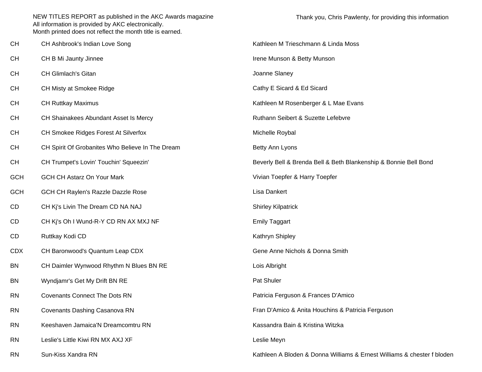|            | NEW TITLES REPORT as published in the AKC Awards magazine<br>All information is provided by AKC electronically.<br>Month printed does not reflect the month title is earned. | Thank you, Chris Pawlenty, for providing this information               |
|------------|------------------------------------------------------------------------------------------------------------------------------------------------------------------------------|-------------------------------------------------------------------------|
| <b>CH</b>  | CH Ashbrook's Indian Love Song                                                                                                                                               | Kathleen M Trieschmann & Linda Moss                                     |
| <b>CH</b>  | CH B Mi Jaunty Jinnee                                                                                                                                                        | Irene Munson & Betty Munson                                             |
| <b>CH</b>  | <b>CH Glimlach's Gitan</b>                                                                                                                                                   | Joanne Slaney                                                           |
| <b>CH</b>  | CH Misty at Smokee Ridge                                                                                                                                                     | Cathy E Sicard & Ed Sicard                                              |
| <b>CH</b>  | <b>CH Ruttkay Maximus</b>                                                                                                                                                    | Kathleen M Rosenberger & L Mae Evans                                    |
| <b>CH</b>  | CH Shainakees Abundant Asset Is Mercy                                                                                                                                        | Ruthann Seibert & Suzette Lefebvre                                      |
| <b>CH</b>  | CH Smokee Ridges Forest At Silverfox                                                                                                                                         | Michelle Roybal                                                         |
| <b>CH</b>  | CH Spirit Of Grobanites Who Believe In The Dream                                                                                                                             | Betty Ann Lyons                                                         |
| <b>CH</b>  | CH Trumpet's Lovin' Touchin' Squeezin'                                                                                                                                       | Beverly Bell & Brenda Bell & Beth Blankenship & Bonnie Bell Bond        |
| <b>GCH</b> | <b>GCH CH Astarz On Your Mark</b>                                                                                                                                            | Vivian Toepfer & Harry Toepfer                                          |
| <b>GCH</b> | GCH CH Raylen's Razzle Dazzle Rose                                                                                                                                           | Lisa Dankert                                                            |
| <b>CD</b>  | CH Kj's Livin The Dream CD NA NAJ                                                                                                                                            | <b>Shirley Kilpatrick</b>                                               |
| CD         | CH Kj's Oh I Wund-R-Y CD RN AX MXJ NF                                                                                                                                        | <b>Emily Taggart</b>                                                    |
| <b>CD</b>  | Ruttkay Kodi CD                                                                                                                                                              | Kathryn Shipley                                                         |
| <b>CDX</b> | CH Baronwood's Quantum Leap CDX                                                                                                                                              | Gene Anne Nichols & Donna Smith                                         |
| <b>BN</b>  | CH Daimler Wynwood Rhythm N Blues BN RE                                                                                                                                      | Lois Albright                                                           |
| <b>BN</b>  | Wyndjamr's Get My Drift BN RE                                                                                                                                                | Pat Shuler                                                              |
| <b>RN</b>  | <b>Covenants Connect The Dots RN</b>                                                                                                                                         | Patricia Ferguson & Frances D'Amico                                     |
| <b>RN</b>  | Covenants Dashing Casanova RN                                                                                                                                                | Fran D'Amico & Anita Houchins & Patricia Ferguson                       |
| <b>RN</b>  | Keeshaven Jamaica'N Dreamcomtru RN                                                                                                                                           | Kassandra Bain & Kristina Witzka                                        |
| <b>RN</b>  | Leslie's Little Kiwi RN MX AXJ XF                                                                                                                                            | Leslie Meyn                                                             |
| <b>RN</b>  | Sun-Kiss Xandra RN                                                                                                                                                           | Kathleen A Bloden & Donna Williams & Ernest Williams & chester f bloden |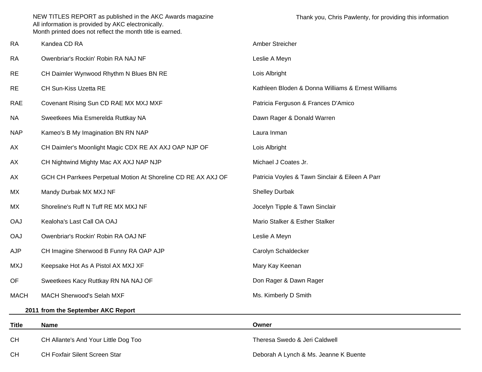| <b>RA</b>    | Kandea CD RA                                                  | Amber Streicher                                    |
|--------------|---------------------------------------------------------------|----------------------------------------------------|
| <b>RA</b>    | Owenbriar's Rockin' Robin RA NAJ NF                           | Leslie A Meyn                                      |
| <b>RE</b>    | CH Daimler Wynwood Rhythm N Blues BN RE                       | Lois Albright                                      |
| <b>RE</b>    | CH Sun-Kiss Uzetta RE                                         | Kathleen Bloden & Donna Williams & Ernest Williams |
| <b>RAE</b>   | Covenant Rising Sun CD RAE MX MXJ MXF                         | Patricia Ferguson & Frances D'Amico                |
| NA           | Sweetkees Mia Esmerelda Ruttkay NA                            | Dawn Rager & Donald Warren                         |
| <b>NAP</b>   | Kameo's B My Imagination BN RN NAP                            | Laura Inman                                        |
| АX           | CH Daimler's Moonlight Magic CDX RE AX AXJ OAP NJP OF         | Lois Albright                                      |
| АX           | CH Nightwind Mighty Mac AX AXJ NAP NJP                        | Michael J Coates Jr.                               |
| АX           | GCH CH Parrkees Perpetual Motion At Shoreline CD RE AX AXJ OF | Patricia Voyles & Tawn Sinclair & Eileen A Parr    |
| МX           | Mandy Durbak MX MXJ NF                                        | <b>Shelley Durbak</b>                              |
| МX           | Shoreline's Ruff N Tuff RE MX MXJ NF                          | Jocelyn Tipple & Tawn Sinclair                     |
| <b>OAJ</b>   | Kealoha's Last Call OA OAJ                                    | Mario Stalker & Esther Stalker                     |
| <b>OAJ</b>   | Owenbriar's Rockin' Robin RA OAJ NF                           | Leslie A Meyn                                      |
| <b>AJP</b>   | CH Imagine Sherwood B Funny RA OAP AJP                        | Carolyn Schaldecker                                |
| <b>MXJ</b>   | Keepsake Hot As A Pistol AX MXJ XF                            | Mary Kay Keenan                                    |
| OF           | Sweetkees Kacy Ruttkay RN NA NAJ OF                           | Don Rager & Dawn Rager                             |
| <b>MACH</b>  | MACH Sherwood's Selah MXF                                     | Ms. Kimberly D Smith                               |
|              | 2011 from the September AKC Report                            |                                                    |
| <b>Title</b> | <b>Name</b>                                                   | Owner                                              |
| CH           | CH Allante's And Your Little Dog Too                          | Theresa Swedo & Jeri Caldwell                      |

CH CH Foxfair Silent Screen Star

Deborah A Lynch & Ms. Jeanne K Buente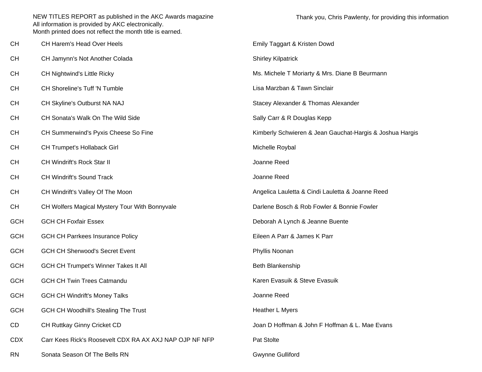| CН  | CH Harem's Head Over Heels                              | Emily Taggart & Kristen Dowd                             |
|-----|---------------------------------------------------------|----------------------------------------------------------|
| CН  | CH Jamynn's Not Another Colada                          | <b>Shirley Kilpatrick</b>                                |
| CН  | <b>CH Nightwind's Little Ricky</b>                      | Ms. Michele T Moriarty & Mrs. Diane B Beurmann           |
| CН  | CH Shoreline's Tuff 'N Tumble                           | Lisa Marzban & Tawn Sinclair                             |
| CН  | CH Skyline's Outburst NA NAJ                            | Stacey Alexander & Thomas Alexander                      |
| CН  | CH Sonata's Walk On The Wild Side                       | Sally Carr & R Douglas Kepp                              |
| CН  | CH Summerwind's Pyxis Cheese So Fine                    | Kimberly Schwieren & Jean Gauchat-Hargis & Joshua Hargis |
| CН  | CH Trumpet's Hollaback Girl                             | Michelle Roybal                                          |
| CН  | CH Windrift's Rock Star II                              | Joanne Reed                                              |
| CН  | <b>CH Windrift's Sound Track</b>                        | Joanne Reed                                              |
| CН  | CH Windrift's Valley Of The Moon                        | Angelica Lauletta & Cindi Lauletta & Joanne Reed         |
| CН  | CH Wolfers Magical Mystery Tour With Bonnyvale          | Darlene Bosch & Rob Fowler & Bonnie Fowler               |
| GCH | <b>GCH CH Foxfair Essex</b>                             | Deborah A Lynch & Jeanne Buente                          |
| GCH | <b>GCH CH Parrkees Insurance Policy</b>                 | Eileen A Parr & James K Parr                             |
| GCH | <b>GCH CH Sherwood's Secret Event</b>                   | Phyllis Noonan                                           |
| GCH | <b>GCH CH Trumpet's Winner Takes It All</b>             | Beth Blankenship                                         |
| GCH | <b>GCH CH Twin Trees Catmandu</b>                       | Karen Evasuik & Steve Evasuik                            |
| GCH | <b>GCH CH Windrift's Money Talks</b>                    | Joanne Reed                                              |
| GCH | <b>GCH CH Woodhill's Stealing The Trust</b>             | Heather L Myers                                          |
| CD  | CH Ruttkay Ginny Cricket CD                             | Joan D Hoffman & John F Hoffman & L. Mae Evans           |
| CDX | Carr Kees Rick's Roosevelt CDX RA AX AXJ NAP OJP NF NFP | Pat Stolte                                               |
| RN  | Sonata Season Of The Bells RN                           | <b>Gwynne Gulliford</b>                                  |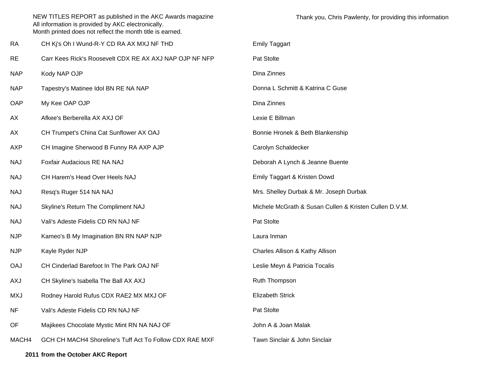|            | NEW TITLES REPORT as published in the AKC Awards magazine<br>All information is provided by AKC electronically.<br>Month printed does not reflect the month title is earned. | Thank you, Chris Pawlenty, for providing this information |
|------------|------------------------------------------------------------------------------------------------------------------------------------------------------------------------------|-----------------------------------------------------------|
| <b>RA</b>  | CH Kj's Oh I Wund-R-Y CD RA AX MXJ NF THD                                                                                                                                    | <b>Emily Taggart</b>                                      |
| <b>RE</b>  | Carr Kees Rick's Roosevelt CDX RE AX AXJ NAP OJP NF NFP                                                                                                                      | Pat Stolte                                                |
| <b>NAP</b> | Kody NAP OJP                                                                                                                                                                 | Dina Zinnes                                               |
| <b>NAP</b> | Tapestry's Matinee Idol BN RE NA NAP                                                                                                                                         | Donna L Schmitt & Katrina C Guse                          |
| <b>OAP</b> | My Kee OAP OJP                                                                                                                                                               | Dina Zinnes                                               |
| АX         | Afkee's Berberella AX AXJ OF                                                                                                                                                 | Lexie E Billman                                           |
| АX         | CH Trumpet's China Cat Sunflower AX OAJ                                                                                                                                      | Bonnie Hronek & Beth Blankenship                          |
| AXP        | CH Imagine Sherwood B Funny RA AXP AJP                                                                                                                                       | Carolyn Schaldecker                                       |
| NAJ        | Foxfair Audacious RE NA NAJ                                                                                                                                                  | Deborah A Lynch & Jeanne Buente                           |
| <b>NAJ</b> | CH Harem's Head Over Heels NAJ                                                                                                                                               | Emily Taggart & Kristen Dowd                              |
| <b>NAJ</b> | Resq's Ruger 514 NA NAJ                                                                                                                                                      | Mrs. Shelley Durbak & Mr. Joseph Durbak                   |
| NAJ        | Skyline's Return The Compliment NAJ                                                                                                                                          | Michele McGrath & Susan Cullen & Kristen Cullen D.V.M.    |
| <b>NAJ</b> | Vali's Adeste Fidelis CD RN NAJ NF                                                                                                                                           | Pat Stolte                                                |
| <b>NJP</b> | Kameo's B My Imagination BN RN NAP NJP                                                                                                                                       | Laura Inman                                               |
| <b>NJP</b> | Kayle Ryder NJP                                                                                                                                                              | Charles Allison & Kathy Allison                           |
| <b>OAJ</b> | CH Cinderlad Barefoot In The Park OAJ NF                                                                                                                                     | Leslie Meyn & Patricia Tocalis                            |
| AXJ        | CH Skyline's Isabella The Ball AX AXJ                                                                                                                                        | Ruth Thompson                                             |
| <b>MXJ</b> | Rodney Harold Rufus CDX RAE2 MX MXJ OF                                                                                                                                       | <b>Elizabeth Strick</b>                                   |
| <b>NF</b>  | Vali's Adeste Fidelis CD RN NAJ NF                                                                                                                                           | Pat Stolte                                                |
| OF         | Majikees Chocolate Mystic Mint RN NA NAJ OF                                                                                                                                  | John A & Joan Malak                                       |
| MACH4      | GCH CH MACH4 Shoreline's Tuff Act To Follow CDX RAE MXF                                                                                                                      | Tawn Sinclair & John Sinclair                             |
|            | 2011 from the October AKC Report                                                                                                                                             |                                                           |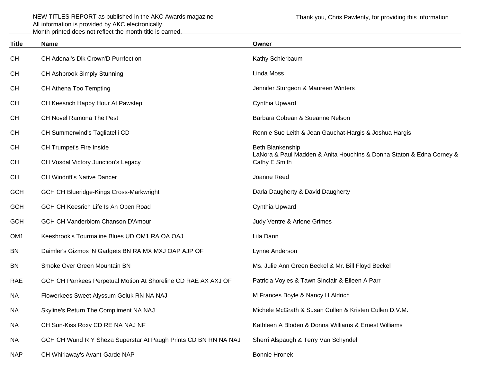| <b>Title</b>    | <b>Name</b>                                                     | Owner                                                                                 |
|-----------------|-----------------------------------------------------------------|---------------------------------------------------------------------------------------|
| <b>CH</b>       | CH Adonai's Dlk Crown'D Purrfection                             | Kathy Schierbaum                                                                      |
| <b>CH</b>       | CH Ashbrook Simply Stunning                                     | Linda Moss                                                                            |
| <b>CH</b>       | CH Athena Too Tempting                                          | Jennifer Sturgeon & Maureen Winters                                                   |
| <b>CH</b>       | CH Keesrich Happy Hour At Pawstep                               | Cynthia Upward                                                                        |
| <b>CH</b>       | <b>CH Novel Ramona The Pest</b>                                 | Barbara Cobean & Sueanne Nelson                                                       |
| <b>CH</b>       | CH Summerwind's Tagliatelli CD                                  | Ronnie Sue Leith & Jean Gauchat-Hargis & Joshua Hargis                                |
| <b>CH</b>       | CH Trumpet's Fire Inside                                        | Beth Blankenship                                                                      |
| <b>CH</b>       | <b>CH Vosdal Victory Junction's Legacy</b>                      | LaNora & Paul Madden & Anita Houchins & Donna Staton & Edna Corney &<br>Cathy E Smith |
| <b>CH</b>       | <b>CH Windrift's Native Dancer</b>                              | Joanne Reed                                                                           |
| <b>GCH</b>      | <b>GCH CH Blueridge-Kings Cross-Markwright</b>                  | Darla Daugherty & David Daugherty                                                     |
| <b>GCH</b>      | GCH CH Keesrich Life Is An Open Road                            | Cynthia Upward                                                                        |
| <b>GCH</b>      | <b>GCH CH Vanderblom Chanson D'Amour</b>                        | Judy Ventre & Arlene Grimes                                                           |
| OM <sub>1</sub> | Keesbrook's Tourmaline Blues UD OM1 RA OA OAJ                   | Lila Dann                                                                             |
| BN              | Daimler's Gizmos 'N Gadgets BN RA MX MXJ OAP AJP OF             | Lynne Anderson                                                                        |
| BN              | Smoke Over Green Mountain BN                                    | Ms. Julie Ann Green Beckel & Mr. Bill Floyd Beckel                                    |
| <b>RAE</b>      | GCH CH Parrkees Perpetual Motion At Shoreline CD RAE AX AXJ OF  | Patricia Voyles & Tawn Sinclair & Eileen A Parr                                       |
| <b>NA</b>       | Flowerkees Sweet Alyssum Geluk RN NA NAJ                        | M Frances Boyle & Nancy H Aldrich                                                     |
| <b>NA</b>       | Skyline's Return The Compliment NA NAJ                          | Michele McGrath & Susan Cullen & Kristen Cullen D.V.M.                                |
| <b>NA</b>       | CH Sun-Kiss Roxy CD RE NA NAJ NF                                | Kathleen A Bloden & Donna Williams & Ernest Williams                                  |
| <b>NA</b>       | GCH CH Wund R Y Sheza Superstar At Paugh Prints CD BN RN NA NAJ | Sherri Alspaugh & Terry Van Schyndel                                                  |
| <b>NAP</b>      | CH Whirlaway's Avant-Garde NAP                                  | <b>Bonnie Hronek</b>                                                                  |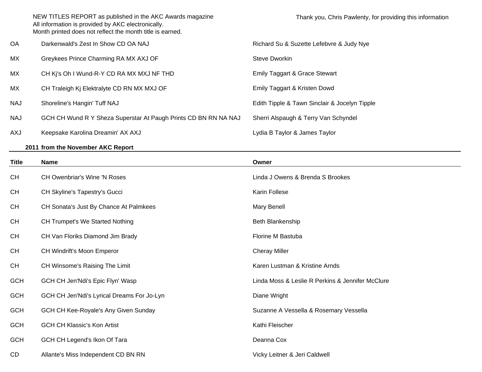|            | NEW TITLES REPORT as published in the AKC Awards magazine<br>All information is provided by AKC electronically.<br>Month printed does not reflect the month title is earned. | Thank you, Chris Pawlenty, for providing this information |
|------------|------------------------------------------------------------------------------------------------------------------------------------------------------------------------------|-----------------------------------------------------------|
| OA         | Darkenwald's Zest In Show CD OA NAJ                                                                                                                                          | Richard Su & Suzette Lefebvre & Judy Nye                  |
| МX         | Greykees Prince Charming RA MX AXJ OF                                                                                                                                        | Steve Dworkin                                             |
| МX         | CH Ki's Oh I Wund-R-Y CD RA MX MXJ NF THD                                                                                                                                    | Emily Taggart & Grace Stewart                             |
| МX         | CH Traleigh Kj Elektralyte CD RN MX MXJ OF                                                                                                                                   | Emily Taggart & Kristen Dowd                              |
| <b>NAJ</b> | Shoreline's Hangin' Tuff NAJ                                                                                                                                                 | Edith Tipple & Tawn Sinclair & Jocelyn Tipple             |
| <b>NAJ</b> | GCH CH Wund R Y Sheza Superstar At Paugh Prints CD BN RN NA NAJ                                                                                                              | Sherri Alspaugh & Terry Van Schyndel                      |
| LXA        | Keepsake Karolina Dreamin' AX AXJ                                                                                                                                            | Lydia B Taylor & James Taylor                             |

## **2011 from the November AKC Report**

| <b>Title</b> | <b>Name</b>                                | Owner                                            |
|--------------|--------------------------------------------|--------------------------------------------------|
| CH           | <b>CH Owenbriar's Wine 'N Roses</b>        | Linda J Owens & Brenda S Brookes                 |
| <b>CH</b>    | CH Skyline's Tapestry's Gucci              | Karin Follese                                    |
| <b>CH</b>    | CH Sonata's Just By Chance At Palmkees     | Mary Benell                                      |
| <b>CH</b>    | <b>CH Trumpet's We Started Nothing</b>     | Beth Blankenship                                 |
| <b>CH</b>    | CH Van Floriks Diamond Jim Brady           | Florine M Bastuba                                |
| CH           | <b>CH Windrift's Moon Emperor</b>          | <b>Cheray Miller</b>                             |
| <b>CH</b>    | CH Winsome's Raising The Limit             | Karen Lustman & Kristine Arnds                   |
| <b>GCH</b>   | GCH CH Jen'Ndi's Epic Flyn' Wasp           | Linda Moss & Leslie R Perkins & Jennifer McClure |
| <b>GCH</b>   | GCH CH Jen'Ndi's Lyrical Dreams For Jo-Lyn | Diane Wright                                     |
| <b>GCH</b>   | GCH CH Kee-Royale's Any Given Sunday       | Suzanne A Vessella & Rosemary Vessella           |
| <b>GCH</b>   | <b>GCH CH Klassic's Kon Artist</b>         | Kathi Fleischer                                  |
| <b>GCH</b>   | GCH CH Legend's Ikon Of Tara               | Deanna Cox                                       |
| CD           | Allante's Miss Independent CD BN RN        | Vicky Leitner & Jeri Caldwell                    |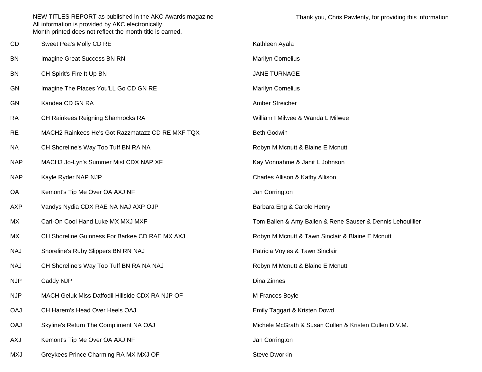| CD         | Sweet Pea's Molly CD RE                          | Kathleen Ayala                                             |
|------------|--------------------------------------------------|------------------------------------------------------------|
| BN         | Imagine Great Success BN RN                      | <b>Marilyn Cornelius</b>                                   |
| <b>BN</b>  | CH Spirit's Fire It Up BN                        | JANE TURNAGE                                               |
| GN         | Imagine The Places You'LL Go CD GN RE            | <b>Marilyn Cornelius</b>                                   |
| GN         | Kandea CD GN RA                                  | Amber Streicher                                            |
| <b>RA</b>  | CH Rainkees Reigning Shamrocks RA                | William I Milwee & Wanda L Milwee                          |
| <b>RE</b>  | MACH2 Rainkees He's Got Razzmatazz CD RE MXF TQX | <b>Beth Godwin</b>                                         |
| <b>NA</b>  | CH Shoreline's Way Too Tuff BN RA NA             | Robyn M Mcnutt & Blaine E Mcnutt                           |
| <b>NAP</b> | MACH3 Jo-Lyn's Summer Mist CDX NAP XF            | Kay Vonnahme & Janit L Johnson                             |
| <b>NAP</b> | Kayle Ryder NAP NJP                              | Charles Allison & Kathy Allison                            |
| OA         | Kemont's Tip Me Over OA AXJ NF                   | Jan Corrington                                             |
| <b>AXP</b> | Vandys Nydia CDX RAE NA NAJ AXP OJP              | Barbara Eng & Carole Henry                                 |
| МX         | Cari-On Cool Hand Luke MX MXJ MXF                | Tom Ballen & Amy Ballen & Rene Sauser & Dennis Lehouillier |
| МX         | CH Shoreline Guinness For Barkee CD RAE MX AXJ   | Robyn M Mcnutt & Tawn Sinclair & Blaine E Mcnutt           |
| <b>NAJ</b> | Shoreline's Ruby Slippers BN RN NAJ              | Patricia Voyles & Tawn Sinclair                            |
| <b>NAJ</b> | CH Shoreline's Way Too Tuff BN RA NA NAJ         | Robyn M Mcnutt & Blaine E Mcnutt                           |
| <b>NJP</b> | Caddy NJP                                        | Dina Zinnes                                                |
| <b>NJP</b> | MACH Geluk Miss Daffodil Hillside CDX RA NJP OF  | M Frances Boyle                                            |
| <b>OAJ</b> | CH Harem's Head Over Heels OAJ                   | Emily Taggart & Kristen Dowd                               |
| <b>OAJ</b> | Skyline's Return The Compliment NA OAJ           | Michele McGrath & Susan Cullen & Kristen Cullen D.V.M.     |
| <b>AXJ</b> | Kemont's Tip Me Over OA AXJ NF                   | Jan Corrington                                             |
| <b>MXJ</b> | Greykees Prince Charming RA MX MXJ OF            | Steve Dworkin                                              |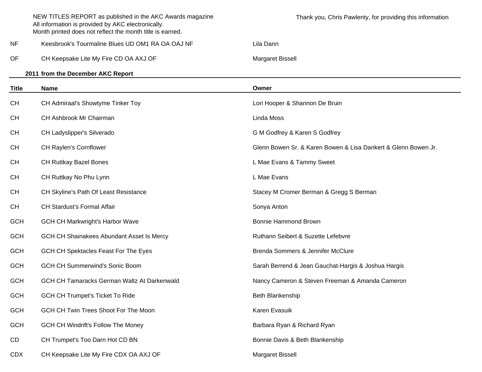|              | NEW TITLES REPORT as published in the AKC Awards magazine<br>All information is provided by AKC electronically.<br>Month printed does not reflect the month title is earned. | Thank you, Chris Pawlenty, for providing this information      |
|--------------|------------------------------------------------------------------------------------------------------------------------------------------------------------------------------|----------------------------------------------------------------|
| <b>NF</b>    | Keesbrook's Tourmaline Blues UD OM1 RA OA OAJ NF                                                                                                                             | Lila Dann                                                      |
| OF           | CH Keepsake Lite My Fire CD OA AXJ OF                                                                                                                                        | Margaret Bissell                                               |
|              | 2011 from the December AKC Report                                                                                                                                            |                                                                |
| <b>Title</b> | <b>Name</b>                                                                                                                                                                  | Owner                                                          |
| <b>CH</b>    | CH Admiraal's Showtyme Tinker Toy                                                                                                                                            | Lori Hooper & Shannon De Bruin                                 |
| <b>CH</b>    | CH Ashbrook Mr Chairman                                                                                                                                                      | Linda Moss                                                     |
| <b>CH</b>    | CH Ladyslipper's Silverado                                                                                                                                                   | G M Godfrey & Karen S Godfrey                                  |
| <b>CH</b>    | <b>CH Raylen's Cornflower</b>                                                                                                                                                | Glenn Bowen Sr. & Karen Bowen & Lisa Dankert & Glenn Bowen Jr. |
| <b>CH</b>    | <b>CH Ruttkay Bazel Bones</b>                                                                                                                                                | L Mae Evans & Tammy Sweet                                      |
| <b>CH</b>    | CH Ruttkay No Phu Lynn                                                                                                                                                       | L Mae Evans                                                    |
| <b>CH</b>    | CH Skyline's Path Of Least Resistance                                                                                                                                        | Stacey M Cromer Berman & Gregg S Berman                        |
| <b>CH</b>    | CH Stardust's Formal Affair                                                                                                                                                  | Sonya Anton                                                    |
| <b>GCH</b>   | <b>GCH CH Markwright's Harbor Wave</b>                                                                                                                                       | <b>Bonnie Hammond Brown</b>                                    |
| <b>GCH</b>   | GCH CH Shainakees Abundant Asset Is Mercy                                                                                                                                    | Ruthann Seibert & Suzette Lefebvre                             |
| <b>GCH</b>   | GCH CH Spektacles Feast For The Eyes                                                                                                                                         | Brenda Sommers & Jennifer McClure                              |
| <b>GCH</b>   | <b>GCH CH Summerwind's Sonic Boom</b>                                                                                                                                        | Sarah Berrend & Jean Gauchat-Hargis & Joshua Hargis            |
| <b>GCH</b>   | GCH CH Tamaracks German Waltz At Darkenwald                                                                                                                                  | Nancy Cameron & Steven Freeman & Amanda Cameron                |
| <b>GCH</b>   | <b>GCH CH Trumpet's Ticket To Ride</b>                                                                                                                                       | <b>Beth Blankenship</b>                                        |
| <b>GCH</b>   | GCH CH Twin Trees Shoot For The Moon                                                                                                                                         | Karen Evasuik                                                  |
| <b>GCH</b>   | <b>GCH CH Windrift's Follow The Money</b>                                                                                                                                    | Barbara Ryan & Richard Ryan                                    |
| CD           | CH Trumpet's Too Darn Hot CD BN                                                                                                                                              | Bonnie Davis & Beth Blankenship                                |
| <b>CDX</b>   | CH Keepsake Lite My Fire CDX OA AXJ OF                                                                                                                                       | Margaret Bissell                                               |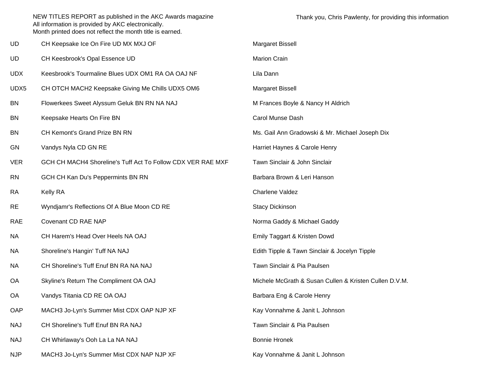|           | NEW TITLES REPORT as published in the AKC Awards magazine<br>All information is provided by AKC electronically.<br>Month printed does not reflect the month title is earned. | Thank you, Chris Pawlenty, for providing               |
|-----------|------------------------------------------------------------------------------------------------------------------------------------------------------------------------------|--------------------------------------------------------|
| UD        | CH Keepsake Ice On Fire UD MX MXJ OF                                                                                                                                         | Margaret Bissell                                       |
| UD        | CH Keesbrook's Opal Essence UD                                                                                                                                               | Marion Crain                                           |
| UDX       | Keesbrook's Tourmaline Blues UDX OM1 RA OA OAJ NF                                                                                                                            | Lila Dann                                              |
| UDX5      | CH OTCH MACH2 Keepsake Giving Me Chills UDX5 OM6                                                                                                                             | Margaret Bissell                                       |
| ΒN        | Flowerkees Sweet Alyssum Geluk BN RN NA NAJ                                                                                                                                  | M Frances Boyle & Nancy H Aldrich                      |
| BN        | Keepsake Hearts On Fire BN                                                                                                                                                   | Carol Munse Dash                                       |
| BN        | CH Kemont's Grand Prize BN RN                                                                                                                                                | Ms. Gail Ann Gradowski & Mr. Michael Joseph Dix        |
| GN        | Vandys Nyla CD GN RE                                                                                                                                                         | Harriet Haynes & Carole Henry                          |
| VER       | GCH CH MACH4 Shoreline's Tuff Act To Follow CDX VER RAE MXF                                                                                                                  | Tawn Sinclair & John Sinclair                          |
| <b>RN</b> | GCH CH Kan Du's Peppermints BN RN                                                                                                                                            | Barbara Brown & Leri Hanson                            |
| RA        | <b>Kelly RA</b>                                                                                                                                                              | Charlene Valdez                                        |
| RE        | Wyndjamr's Reflections Of A Blue Moon CD RE                                                                                                                                  | <b>Stacy Dickinson</b>                                 |
| RAE       | Covenant CD RAE NAP                                                                                                                                                          | Norma Gaddy & Michael Gaddy                            |
| ΝA        | CH Harem's Head Over Heels NA OAJ                                                                                                                                            | Emily Taggart & Kristen Dowd                           |
| NΑ        | Shoreline's Hangin' Tuff NA NAJ                                                                                                                                              | Edith Tipple & Tawn Sinclair & Jocelyn Tipple          |
| NΑ        | CH Shoreline's Tuff Enuf BN RA NA NAJ                                                                                                                                        | Tawn Sinclair & Pia Paulsen                            |
| ОA        | Skyline's Return The Compliment OA OAJ                                                                                                                                       | Michele McGrath & Susan Cullen & Kristen Cullen D.V.M. |
|           |                                                                                                                                                                              |                                                        |

- OA Vandys Titania CD RE OA OAJ
- OAP MACH3 Jo-Lyn's Summer Mist CDX OAP NJP XF
- NAJ CH Shoreline's Tuff Enuf BN RA NAJ
- NAJ CH Whirlaway's Ooh La La NA NAJ
- NJP MACH3 Jo-Lyn's Summer Mist CDX NAP NJP XF Kay Vonnahme & Janit L Johnson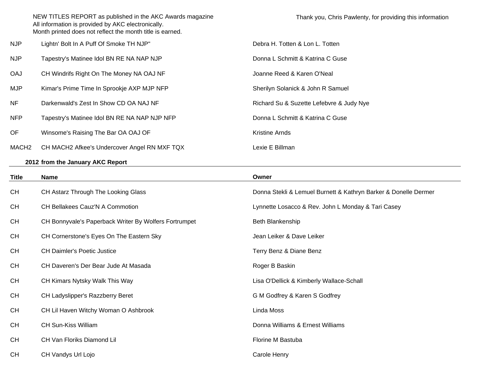NJP Lightn' Bolt In A Puff Of Smoke TH NJP" Debra H. Totten & Lon L. Totten NJP Tapestry's Matinee Idol BN RE NA NAP NJP **Donna L Schmitt & Katrina C Guse** OAJ CH Windrifs Right On The Money NA OAJ NF Same States and School and School Assembly Joanne Reed & Karen O'Neal MJP Kimar's Prime Time In Sprookje AXP MJP NFP Sherilyn Solanick & John R Samuel NF Darkenwald's Zest In Show CD OA NAJ NF Richard Su & Suzette Lefebvre & Judy Nye NFP Tapestry's Matinee Idol BN RE NA NAP NJP NFP DONNA Donna L Schmitt & Katrina C Guse OF Winsome's Raising The Bar OA OAJ OF The Contract of the Kristine Arnds MACH2 CH MACH2 Afkee's Undercover Angel RN MXF TQX Lexie E Billman

## **2012 from the January AKC Report**

| <b>Title</b> | <b>Name</b>                                           | Owner                                                           |
|--------------|-------------------------------------------------------|-----------------------------------------------------------------|
| <b>CH</b>    | CH Astarz Through The Looking Glass                   | Donna Stekli & Lemuel Burnett & Kathryn Barker & Donelle Dermer |
| <b>CH</b>    | CH Bellakees Cauz'N A Commotion                       | Lynnette Losacco & Rev. John L Monday & Tari Casey              |
| <b>CH</b>    | CH Bonnyvale's Paperback Writer By Wolfers Fortrumpet | Beth Blankenship                                                |
| <b>CH</b>    | CH Cornerstone's Eyes On The Eastern Sky              | Jean Leiker & Dave Leiker                                       |
| <b>CH</b>    | <b>CH Daimler's Poetic Justice</b>                    | Terry Benz & Diane Benz                                         |
| <b>CH</b>    | CH Daveren's Der Bear Jude At Masada                  | Roger B Baskin                                                  |
| <b>CH</b>    | CH Kimars Nytsky Walk This Way                        | Lisa O'Dellick & Kimberly Wallace-Schall                        |
| <b>CH</b>    | CH Ladyslipper's Razzberry Beret                      | G M Godfrey & Karen S Godfrey                                   |
| <b>CH</b>    | CH Lil Haven Witchy Woman O Ashbrook                  | Linda Moss                                                      |
| <b>CH</b>    | <b>CH Sun-Kiss William</b>                            | Donna Williams & Ernest Williams                                |
| <b>CH</b>    | CH Van Floriks Diamond Lil                            | Florine M Bastuba                                               |
| <b>CH</b>    | CH Vandys Url Lojo                                    | Carole Henry                                                    |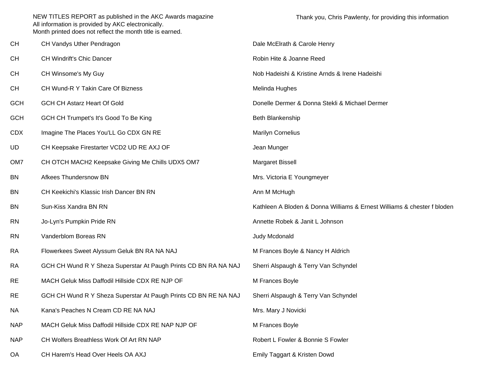| <b>CH</b>       | CH Vandys Uther Pendragon                                       | Dale McElrath & Carole Henry                                            |  |
|-----------------|-----------------------------------------------------------------|-------------------------------------------------------------------------|--|
| <b>CH</b>       | CH Windrift's Chic Dancer                                       | Robin Hite & Joanne Reed                                                |  |
| <b>CH</b>       | CH Winsome's My Guy                                             | Nob Hadeishi & Kristine Arnds & Irene Hadeishi                          |  |
| <b>CH</b>       | CH Wund-R Y Takin Care Of Bizness                               | Melinda Hughes                                                          |  |
| <b>GCH</b>      | <b>GCH CH Astarz Heart Of Gold</b>                              | Donelle Dermer & Donna Stekli & Michael Dermer                          |  |
| <b>GCH</b>      | GCH CH Trumpet's It's Good To Be King                           | Beth Blankenship                                                        |  |
| <b>CDX</b>      | Imagine The Places You'LL Go CDX GN RE                          | <b>Marilyn Cornelius</b>                                                |  |
| UD              | CH Keepsake Firestarter VCD2 UD RE AXJ OF                       | Jean Munger                                                             |  |
| OM <sub>7</sub> | CH OTCH MACH2 Keepsake Giving Me Chills UDX5 OM7                | Margaret Bissell                                                        |  |
| <b>BN</b>       | Afkees Thundersnow BN                                           | Mrs. Victoria E Youngmeyer                                              |  |
| <b>BN</b>       | CH Keekichi's Klassic Irish Dancer BN RN                        | Ann M McHugh                                                            |  |
| <b>BN</b>       | Sun-Kiss Xandra BN RN                                           | Kathleen A Bloden & Donna Williams & Ernest Williams & chester f bloden |  |
| <b>RN</b>       | Jo-Lyn's Pumpkin Pride RN                                       | Annette Robek & Janit L Johnson                                         |  |
| <b>RN</b>       | Vanderblom Boreas RN                                            | Judy Mcdonald                                                           |  |
| <b>RA</b>       | Flowerkees Sweet Alyssum Geluk BN RA NA NAJ                     | M Frances Boyle & Nancy H Aldrich                                       |  |
| <b>RA</b>       | GCH CH Wund R Y Sheza Superstar At Paugh Prints CD BN RA NA NAJ | Sherri Alspaugh & Terry Van Schyndel                                    |  |
| <b>RE</b>       | MACH Geluk Miss Daffodil Hillside CDX RE NJP OF                 | M Frances Boyle                                                         |  |
| <b>RE</b>       | GCH CH Wund R Y Sheza Superstar At Paugh Prints CD BN RE NA NAJ | Sherri Alspaugh & Terry Van Schyndel                                    |  |
| <b>NA</b>       | Kana's Peaches N Cream CD RE NA NAJ                             | Mrs. Mary J Novicki                                                     |  |
| <b>NAP</b>      | MACH Geluk Miss Daffodil Hillside CDX RE NAP NJP OF             | M Frances Boyle                                                         |  |
| <b>NAP</b>      | CH Wolfers Breathless Work Of Art RN NAP                        | Robert L Fowler & Bonnie S Fowler                                       |  |
| OA              | CH Harem's Head Over Heels OA AXJ                               | Emily Taggart & Kristen Dowd                                            |  |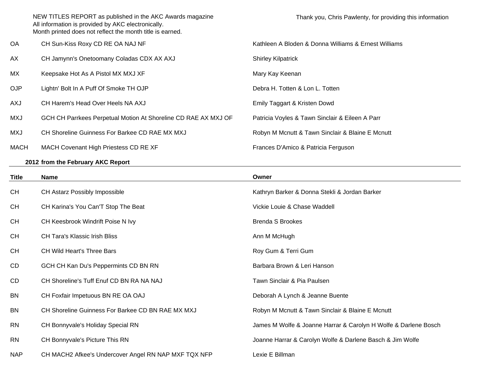| ОA         | CH Sun-Kiss Roxy CD RE OA NAJ NF                               | Kathleen A Bloden & Donna Williams & Ernest Williams |
|------------|----------------------------------------------------------------|------------------------------------------------------|
| AX         | CH Jamynn's Onetoomany Coladas CDX AX AXJ                      | <b>Shirley Kilpatrick</b>                            |
| МX         | Keepsake Hot As A Pistol MX MXJ XF                             | Mary Kay Keenan                                      |
| OJP        | Lightn' Bolt In A Puff Of Smoke TH OJP                         | Debra H. Totten & Lon L. Totten                      |
| <b>LXA</b> | CH Harem's Head Over Heels NA AXJ                              | Emily Taggart & Kristen Dowd                         |
| <b>LXM</b> | GCH CH Parrkees Perpetual Motion At Shoreline CD RAE AX MXJ OF | Patricia Voyles & Tawn Sinclair & Eileen A Parr      |
| <b>LXM</b> | CH Shoreline Guinness For Barkee CD RAE MX MXJ                 | Robyn M Mcnutt & Tawn Sinclair & Blaine E Mcnutt     |
| MACH       | MACH Covenant High Priestess CD RE XF                          | Frances D'Amico & Patricia Ferguson                  |
|            |                                                                |                                                      |

## **2012 from the February AKC Report**

| <b>Title</b> | <b>Name</b>                                          | Owner                                                           |  |
|--------------|------------------------------------------------------|-----------------------------------------------------------------|--|
| CH           | CH Astarz Possibly Impossible                        | Kathryn Barker & Donna Stekli & Jordan Barker                   |  |
| <b>CH</b>    | CH Karina's You Can'T Stop The Beat                  | Vickie Louie & Chase Waddell                                    |  |
| CH           | CH Keesbrook Windrift Poise N Ivy                    | <b>Brenda S Brookes</b>                                         |  |
| CH           | <b>CH Tara's Klassic Irish Bliss</b>                 | Ann M McHugh                                                    |  |
| CH           | <b>CH Wild Heart's Three Bars</b>                    | Roy Gum & Terri Gum                                             |  |
| CD           | GCH CH Kan Du's Peppermints CD BN RN                 | Barbara Brown & Leri Hanson                                     |  |
| CD           | CH Shoreline's Tuff Enuf CD BN RA NA NAJ             | Tawn Sinclair & Pia Paulsen                                     |  |
| <b>BN</b>    | CH Foxfair Impetuous BN RE OA OAJ                    | Deborah A Lynch & Jeanne Buente                                 |  |
| <b>BN</b>    | CH Shoreline Guinness For Barkee CD BN RAE MX MXJ    | Robyn M Mcnutt & Tawn Sinclair & Blaine E Mcnutt                |  |
| <b>RN</b>    | CH Bonnyvale's Holiday Special RN                    | James M Wolfe & Joanne Harrar & Carolyn H Wolfe & Darlene Bosch |  |
| <b>RN</b>    | CH Bonnyvale's Picture This RN                       | Joanne Harrar & Carolyn Wolfe & Darlene Basch & Jim Wolfe       |  |
| <b>NAP</b>   | CH MACH2 Afkee's Undercover Angel RN NAP MXF TQX NFP | Lexie E Billman                                                 |  |